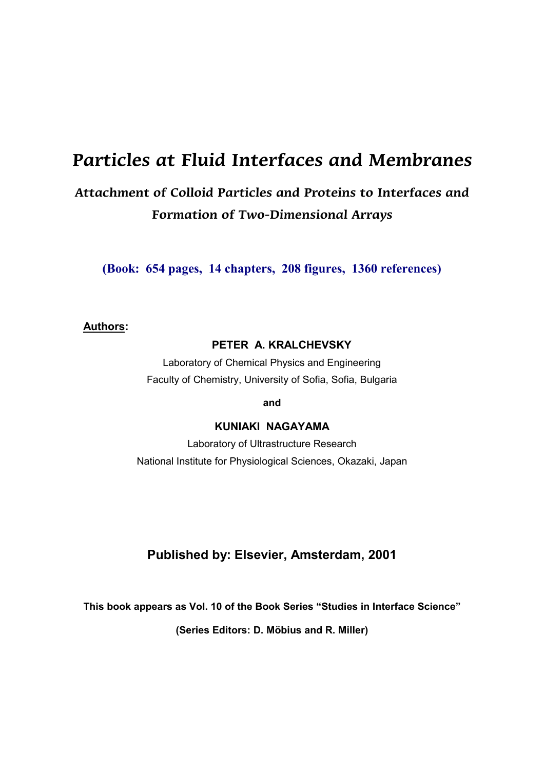# **Particles at Fluid Interfaces and Membranes**

## **Attachment of Colloid Particles and Proteins to Interfaces and Formation of Two-Dimensional Arrays**

**(Book: 654 pages, 14 chapters, 208 figures, 1360 references)**

#### **Authors:**

#### **PETER A. KRALCHEVSKY**

Laboratory of Chemical Physics and Engineering Faculty of Chemistry, University of Sofia, Sofia, Bulgaria

**and**

### **KUNIAKI NAGAYAMA**

Laboratory of Ultrastructure Research National Institute for Physiological Sciences, Okazaki, Japan

### **Published by: Elsevier, Amsterdam, 2001**

**This book appears as Vol. 10 of the Book Series "Studies in Interface Science"**

**(Series Editors: D. Möbius and R. Miller)**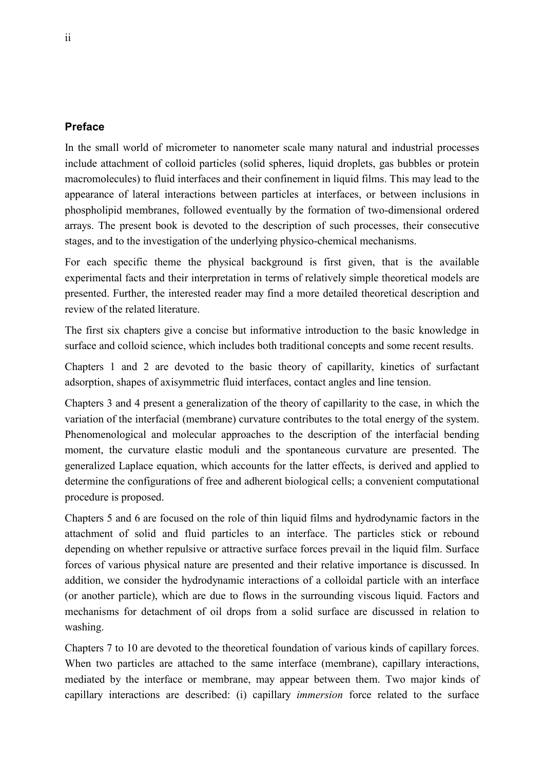#### **Preface**

In the small world of micrometer to nanometer scale many natural and industrial processes include attachment of colloid particles (solid spheres, liquid droplets, gas bubbles or protein macromolecules) to fluid interfaces and their confinement in liquid films. This may lead to the appearance of lateral interactions between particles at interfaces, or between inclusions in phospholipid membranes, followed eventually by the formation of two-dimensional ordered arrays. The present book is devoted to the description of such processes, their consecutive stages, and to the investigation of the underlying physico-chemical mechanisms.

For each specific theme the physical background is first given, that is the available experimental facts and their interpretation in terms of relatively simple theoretical models are presented. Further, the interested reader may find a more detailed theoretical description and review of the related literature.

The first six chapters give a concise but informative introduction to the basic knowledge in surface and colloid science, which includes both traditional concepts and some recent results.

Chapters 1 and 2 are devoted to the basic theory of capillarity, kinetics of surfactant adsorption, shapes of axisymmetric fluid interfaces, contact angles and line tension.

Chapters 3 and 4 present a generalization of the theory of capillarity to the case, in which the variation of the interfacial (membrane) curvature contributes to the total energy of the system. Phenomenological and molecular approaches to the description of the interfacial bending moment, the curvature elastic moduli and the spontaneous curvature are presented. The generalized Laplace equation, which accounts for the latter effects, is derived and applied to determine the configurations of free and adherent biological cells; a convenient computational procedure is proposed.

Chapters 5 and 6 are focused on the role of thin liquid films and hydrodynamic factors in the attachment of solid and fluid particles to an interface. The particles stick or rebound depending on whether repulsive or attractive surface forces prevail in the liquid film. Surface forces of various physical nature are presented and their relative importance is discussed. In addition, we consider the hydrodynamic interactions of a colloidal particle with an interface (or another particle), which are due to flows in the surrounding viscous liquid. Factors and mechanisms for detachment of oil drops from a solid surface are discussed in relation to washing.

Chapters 7 to 10 are devoted to the theoretical foundation of various kinds of capillary forces. When two particles are attached to the same interface (membrane), capillary interactions, mediated by the interface or membrane, may appear between them. Two major kinds of capillary interactions are described: (i) capillary *immersion* force related to the surface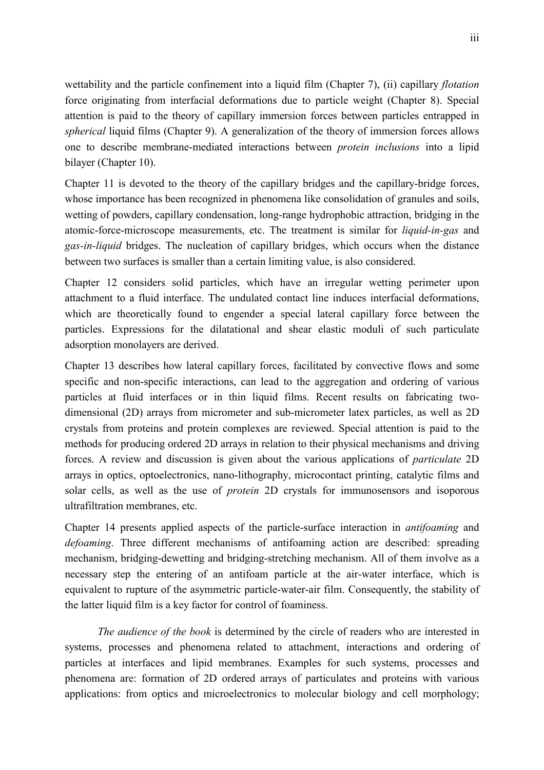wettability and the particle confinement into a liquid film (Chapter 7), (ii) capillary *flotation* force originating from interfacial deformations due to particle weight (Chapter 8). Special attention is paid to the theory of capillary immersion forces between particles entrapped in *spherical* liquid films (Chapter 9). A generalization of the theory of immersion forces allows one to describe membrane-mediated interactions between *protein inclusions* into a lipid bilayer (Chapter 10).

Chapter 11 is devoted to the theory of the capillary bridges and the capillary-bridge forces, whose importance has been recognized in phenomena like consolidation of granules and soils, wetting of powders, capillary condensation, long-range hydrophobic attraction, bridging in the atomic-force-microscope measurements, etc. The treatment is similar for *liquid-in-gas* and *gas-in-liquid* bridges. The nucleation of capillary bridges, which occurs when the distance between two surfaces is smaller than a certain limiting value, is also considered.

Chapter 12 considers solid particles, which have an irregular wetting perimeter upon attachment to a fluid interface. The undulated contact line induces interfacial deformations, which are theoretically found to engender a special lateral capillary force between the particles. Expressions for the dilatational and shear elastic moduli of such particulate adsorption monolayers are derived.

Chapter 13 describes how lateral capillary forces, facilitated by convective flows and some specific and non-specific interactions, can lead to the aggregation and ordering of various particles at fluid interfaces or in thin liquid films. Recent results on fabricating twodimensional (2D) arrays from micrometer and sub-micrometer latex particles, as well as 2D crystals from proteins and protein complexes are reviewed. Special attention is paid to the methods for producing ordered 2D arrays in relation to their physical mechanisms and driving forces. A review and discussion is given about the various applications of *particulate* 2D arrays in optics, optoelectronics, nano-lithography, microcontact printing, catalytic films and solar cells, as well as the use of *protein* 2D crystals for immunosensors and isoporous ultrafiltration membranes, etc.

Chapter 14 presents applied aspects of the particle-surface interaction in *antifoaming* and *defoaming*. Three different mechanisms of antifoaming action are described: spreading mechanism, bridging-dewetting and bridging-stretching mechanism. All of them involve as a necessary step the entering of an antifoam particle at the air-water interface, which is equivalent to rupture of the asymmetric particle-water-air film. Consequently, the stability of the latter liquid film is a key factor for control of foaminess.

*The audience of the book* is determined by the circle of readers who are interested in systems, processes and phenomena related to attachment, interactions and ordering of particles at interfaces and lipid membranes. Examples for such systems, processes and phenomena are: formation of 2D ordered arrays of particulates and proteins with various applications: from optics and microelectronics to molecular biology and cell morphology;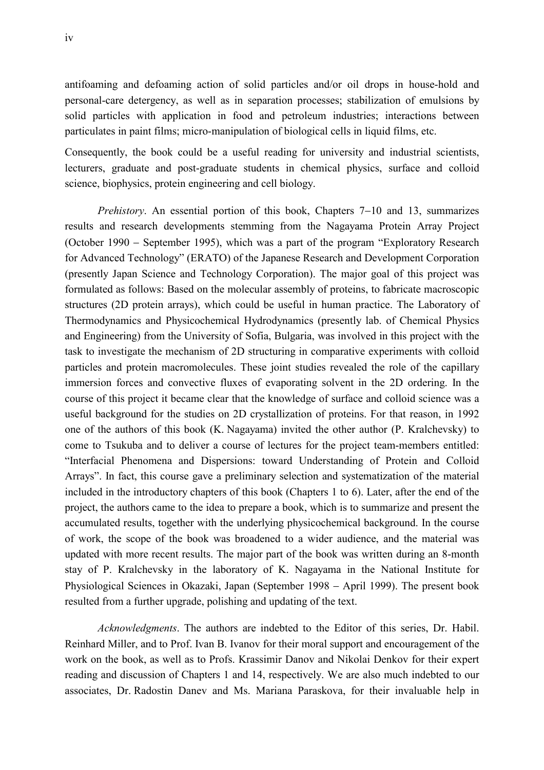antifoaming and defoaming action of solid particles and/or oil drops in house-hold and personal-care detergency, as well as in separation processes; stabilization of emulsions by solid particles with application in food and petroleum industries; interactions between particulates in paint films; micro-manipulation of biological cells in liquid films, etc.

Consequently, the book could be a useful reading for university and industrial scientists, lecturers, graduate and post-graduate students in chemical physics, surface and colloid science, biophysics, protein engineering and cell biology.

*Prehistory*. An essential portion of this book, Chapters 7–10 and 13, summarizes results and research developments stemming from the Nagayama Protein Array Project (October 1990 – September 1995), which was a part of the program "Exploratory Research" for Advanced Technology" (ERATO) of the Japanese Research and Development Corporation (presently Japan Science and Technology Corporation). The major goal of this project was formulated as follows: Based on the molecular assembly of proteins, to fabricate macroscopic structures (2D protein arrays), which could be useful in human practice. The Laboratory of Thermodynamics and Physicochemical Hydrodynamics (presently lab. of Chemical Physics and Engineering) from the University of Sofia, Bulgaria, was involved in this project with the task to investigate the mechanism of 2D structuring in comparative experiments with colloid particles and protein macromolecules. These joint studies revealed the role of the capillary immersion forces and convective fluxes of evaporating solvent in the 2D ordering. In the course of this project it became clear that the knowledge of surface and colloid science was a useful background for the studies on 2D crystallization of proteins. For that reason, in 1992 one of the authors of this book (K. Nagayama) invited the other author (P. Kralchevsky) to come to Tsukuba and to deliver a course of lectures for the project team-members entitled: "Interfacial Phenomena and Dispersions: toward Understanding of Protein and Colloid Arrays". In fact, this course gave a preliminary selection and systematization of the material included in the introductory chapters of this book (Chapters 1 to 6). Later, after the end of the project, the authors came to the idea to prepare a book, which is to summarize and present the accumulated results, together with the underlying physicochemical background. In the course of work, the scope of the book was broadened to a wider audience, and the material was updated with more recent results. The major part of the book was written during an 8-month stay of P. Kralchevsky in the laboratory of K. Nagayama in the National Institute for Physiological Sciences in Okazaki, Japan (September 1998 April 1999). The present book resulted from a further upgrade, polishing and updating of the text.

*Acknowledgments*. The authors are indebted to the Editor of this series, Dr. Habil. Reinhard Miller, and to Prof. Ivan B. Ivanov for their moral support and encouragement of the work on the book, as well as to Profs. Krassimir Danov and Nikolai Denkov for their expert reading and discussion of Chapters 1 and 14, respectively. We are also much indebted to our associates, Dr. Radostin Danev and Ms. Mariana Paraskova, for their invaluable help in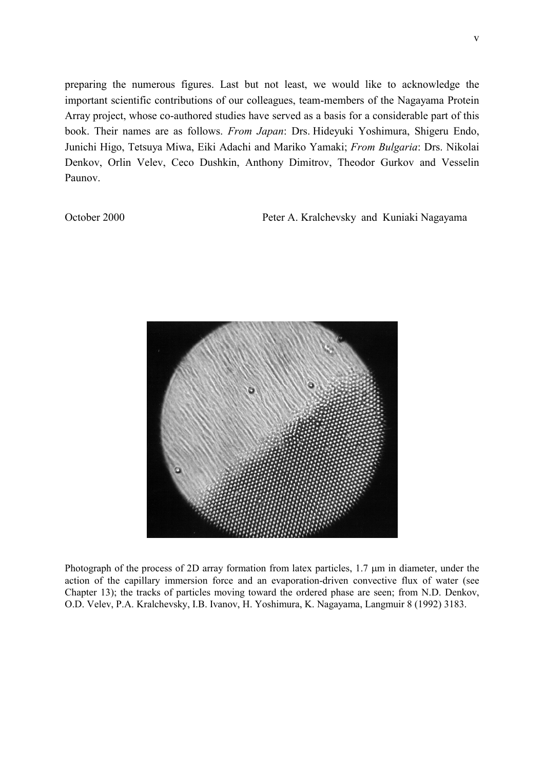preparing the numerous figures. Last but not least, we would like to acknowledge the important scientific contributions of our colleagues, team-members of the Nagayama Protein Array project, whose co-authored studies have served as a basis for a considerable part of this book. Their names are as follows. *From Japan*: Drs. Hideyuki Yoshimura, Shigeru Endo, Junichi Higo, Tetsuya Miwa, Eiki Adachi and Mariko Yamaki; *From Bulgaria*: Drs. Nikolai Denkov, Orlin Velev, Ceco Dushkin, Anthony Dimitrov, Theodor Gurkov and Vesselin Paunov.

October 2000 Peter A. Kralchevsky and Kuniaki Nagayama



Photograph of the process of 2D array formation from latex particles, 1.7  $\mu$ m in diameter, under the action of the capillary immersion force and an evaporation-driven convective flux of water (see Chapter 13); the tracks of particles moving toward the ordered phase are seen; from N.D. Denkov, O.D. Velev, P.A. Kralchevsky, I.B. Ivanov, H. Yoshimura, K. Nagayama, Langmuir 8 (1992) 3183.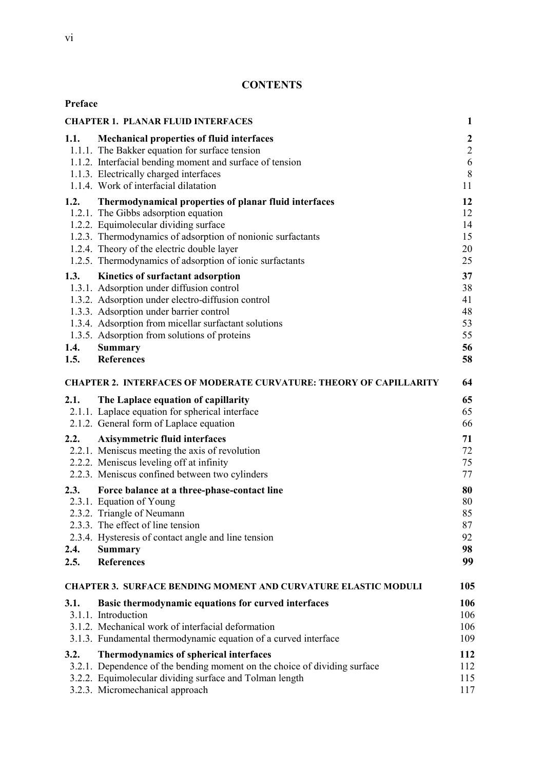## **CONTENTS**

| Preface              |                                                                                                                                                                                                                                                                                                                               |                                                    |
|----------------------|-------------------------------------------------------------------------------------------------------------------------------------------------------------------------------------------------------------------------------------------------------------------------------------------------------------------------------|----------------------------------------------------|
|                      | <b>CHAPTER 1. PLANAR FLUID INTERFACES</b>                                                                                                                                                                                                                                                                                     | $\mathbf{1}$                                       |
| 1.1.                 | <b>Mechanical properties of fluid interfaces</b><br>1.1.1. The Bakker equation for surface tension<br>1.1.2. Interfacial bending moment and surface of tension<br>1.1.3. Electrically charged interfaces<br>1.1.4. Work of interfacial dilatation                                                                             | $\boldsymbol{2}$<br>$\overline{2}$<br>6<br>8<br>11 |
| 1.2.                 | Thermodynamical properties of planar fluid interfaces<br>1.2.1. The Gibbs adsorption equation<br>1.2.2. Equimolecular dividing surface<br>1.2.3. Thermodynamics of adsorption of nonionic surfactants<br>1.2.4. Theory of the electric double layer<br>1.2.5. Thermodynamics of adsorption of ionic surfactants               | 12<br>12<br>14<br>15<br>20<br>25                   |
| 1.3.<br>1.4.<br>1.5. | Kinetics of surfactant adsorption<br>1.3.1. Adsorption under diffusion control<br>1.3.2. Adsorption under electro-diffusion control<br>1.3.3. Adsorption under barrier control<br>1.3.4. Adsorption from micellar surfactant solutions<br>1.3.5. Adsorption from solutions of proteins<br><b>Summary</b><br><b>References</b> | 37<br>38<br>41<br>48<br>53<br>55<br>56<br>58       |
|                      | <b>CHAPTER 2. INTERFACES OF MODERATE CURVATURE: THEORY OF CAPILLARITY</b>                                                                                                                                                                                                                                                     | 64                                                 |
| 2.1.                 | The Laplace equation of capillarity<br>2.1.1. Laplace equation for spherical interface<br>2.1.2. General form of Laplace equation                                                                                                                                                                                             | 65<br>65<br>66                                     |
| 2.2.                 | <b>Axisymmetric fluid interfaces</b><br>2.2.1. Meniscus meeting the axis of revolution<br>2.2.2. Meniscus leveling off at infinity<br>2.2.3. Meniscus confined between two cylinders                                                                                                                                          | 71<br>72<br>75<br>77                               |
| 2.3.<br>2.4.<br>2.5. | Force balance at a three-phase-contact line<br>2.3.1. Equation of Young<br>2.3.2. Triangle of Neumann<br>2.3.3. The effect of line tension<br>2.3.4. Hysteresis of contact angle and line tension<br><b>Summary</b><br><b>References</b>                                                                                      | 80<br>80<br>85<br>87<br>92<br>98<br>99             |
|                      | <b>CHAPTER 3. SURFACE BENDING MOMENT AND CURVATURE ELASTIC MODULI</b>                                                                                                                                                                                                                                                         | 105                                                |
| 3.1.                 | Basic thermodynamic equations for curved interfaces<br>3.1.1. Introduction<br>3.1.2. Mechanical work of interfacial deformation<br>3.1.3. Fundamental thermodynamic equation of a curved interface                                                                                                                            | 106<br>106<br>106<br>109                           |
| 3.2.                 | Thermodynamics of spherical interfaces<br>3.2.1. Dependence of the bending moment on the choice of dividing surface<br>3.2.2. Equimolecular dividing surface and Tolman length<br>3.2.3. Micromechanical approach                                                                                                             | 112<br>112<br>115<br>117                           |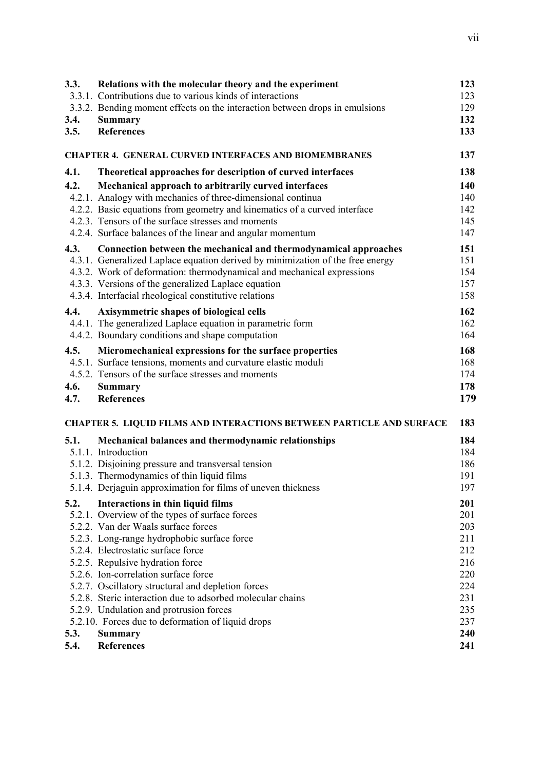| 3.3. | Relations with the molecular theory and the experiment<br>3.3.1. Contributions due to various kinds of interactions | 123<br>123 |
|------|---------------------------------------------------------------------------------------------------------------------|------------|
|      | 3.3.2. Bending moment effects on the interaction between drops in emulsions                                         | 129        |
| 3.4. | <b>Summary</b>                                                                                                      | 132        |
| 3.5. | <b>References</b>                                                                                                   | 133        |
|      | <b>CHAPTER 4. GENERAL CURVED INTERFACES AND BIOMEMBRANES</b>                                                        | 137        |
| 4.1. | Theoretical approaches for description of curved interfaces                                                         | 138        |
| 4.2. | Mechanical approach to arbitrarily curved interfaces                                                                | 140        |
|      | 4.2.1. Analogy with mechanics of three-dimensional continua                                                         | 140        |
|      | 4.2.2. Basic equations from geometry and kinematics of a curved interface                                           | 142        |
|      | 4.2.3. Tensors of the surface stresses and moments                                                                  | 145        |
|      | 4.2.4. Surface balances of the linear and angular momentum                                                          | 147        |
| 4.3. | Connection between the mechanical and thermodynamical approaches                                                    | 151        |
|      | 4.3.1. Generalized Laplace equation derived by minimization of the free energy                                      | 151        |
|      | 4.3.2. Work of deformation: thermodynamical and mechanical expressions                                              | 154        |
|      | 4.3.3. Versions of the generalized Laplace equation                                                                 | 157        |
|      | 4.3.4. Interfacial rheological constitutive relations                                                               | 158        |
| 4.4. | <b>Axisymmetric shapes of biological cells</b>                                                                      | 162        |
|      | 4.4.1. The generalized Laplace equation in parametric form                                                          | 162        |
|      | 4.4.2. Boundary conditions and shape computation                                                                    | 164        |
| 4.5. | Micromechanical expressions for the surface properties                                                              | 168        |
|      | 4.5.1. Surface tensions, moments and curvature elastic moduli                                                       | 168        |
|      | 4.5.2. Tensors of the surface stresses and moments                                                                  | 174        |
| 4.6. | <b>Summary</b>                                                                                                      | 178        |
| 4.7. | <b>References</b>                                                                                                   | 179        |
|      |                                                                                                                     |            |
|      | <b>CHAPTER 5. LIQUID FILMS AND INTERACTIONS BETWEEN PARTICLE AND SURFACE</b>                                        | 183        |
| 5.1. | Mechanical balances and thermodynamic relationships                                                                 | 184        |
|      | 5.1.1. Introduction                                                                                                 | 184        |
|      | 5.1.2. Disjoining pressure and transversal tension                                                                  | 186        |
|      | 5.1.3. Thermodynamics of thin liquid films                                                                          | 191        |
|      | 5.1.4. Derjaguin approximation for films of uneven thickness                                                        | 197        |
| 5.2. | Interactions in thin liquid films                                                                                   | 201        |
|      | 5.2.1. Overview of the types of surface forces                                                                      | 201        |
|      | 5.2.2. Van der Waals surface forces                                                                                 | 203        |
|      | 5.2.3. Long-range hydrophobic surface force                                                                         | 211        |
|      | 5.2.4. Electrostatic surface force                                                                                  | 212        |
|      | 5.2.5. Repulsive hydration force                                                                                    | 216        |
|      | 5.2.6. Ion-correlation surface force                                                                                | 220        |
|      | 5.2.7. Oscillatory structural and depletion forces                                                                  | 224        |
|      | 5.2.8. Steric interaction due to adsorbed molecular chains                                                          | 231        |
|      | 5.2.9. Undulation and protrusion forces                                                                             | 235        |
|      | 5.2.10. Forces due to deformation of liquid drops                                                                   | 237        |
| 5.3. | <b>Summary</b>                                                                                                      | 240        |
| 5.4. | <b>References</b>                                                                                                   | 241        |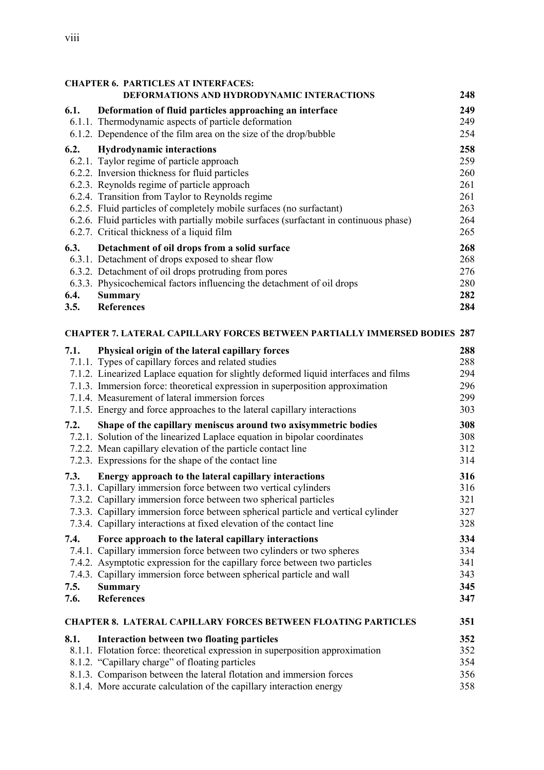| <b>CHAPTER 6. PARTICLES AT INTERFACES:</b>                                   |                                                                                                                                             |            |
|------------------------------------------------------------------------------|---------------------------------------------------------------------------------------------------------------------------------------------|------------|
|                                                                              | DEFORMATIONS AND HYDRODYNAMIC INTERACTIONS                                                                                                  | 248        |
| 6.1.                                                                         | Deformation of fluid particles approaching an interface                                                                                     | 249        |
|                                                                              | 6.1.1. Thermodynamic aspects of particle deformation                                                                                        | 249        |
|                                                                              | 6.1.2. Dependence of the film area on the size of the drop/bubble                                                                           | 254        |
| 6.2.                                                                         | <b>Hydrodynamic interactions</b>                                                                                                            | 258        |
|                                                                              | 6.2.1. Taylor regime of particle approach                                                                                                   | 259        |
|                                                                              | 6.2.2. Inversion thickness for fluid particles                                                                                              | 260        |
|                                                                              | 6.2.3. Reynolds regime of particle approach                                                                                                 | 261        |
|                                                                              | 6.2.4. Transition from Taylor to Reynolds regime                                                                                            | 261        |
|                                                                              | 6.2.5. Fluid particles of completely mobile surfaces (no surfactant)                                                                        | 263        |
|                                                                              | 6.2.6. Fluid particles with partially mobile surfaces (surfactant in continuous phase)<br>6.2.7. Critical thickness of a liquid film        | 264<br>265 |
|                                                                              |                                                                                                                                             |            |
| 6.3.                                                                         | Detachment of oil drops from a solid surface                                                                                                | 268        |
|                                                                              | 6.3.1. Detachment of drops exposed to shear flow<br>6.3.2. Detachment of oil drops protruding from pores                                    | 268<br>276 |
|                                                                              | 6.3.3. Physicochemical factors influencing the detachment of oil drops                                                                      | 280        |
| 6.4.                                                                         | <b>Summary</b>                                                                                                                              | 282        |
| 3.5.                                                                         | <b>References</b>                                                                                                                           | 284        |
|                                                                              |                                                                                                                                             |            |
|                                                                              | <b>CHAPTER 7. LATERAL CAPILLARY FORCES BETWEEN PARTIALLY IMMERSED BODIES 287</b>                                                            |            |
| 7.1.                                                                         | Physical origin of the lateral capillary forces                                                                                             | 288        |
|                                                                              | 7.1.1. Types of capillary forces and related studies                                                                                        | 288        |
|                                                                              | 7.1.2. Linearized Laplace equation for slightly deformed liquid interfaces and films                                                        | 294        |
|                                                                              | 7.1.3. Immersion force: theoretical expression in superposition approximation                                                               | 296        |
|                                                                              | 7.1.4. Measurement of lateral immersion forces                                                                                              | 299        |
|                                                                              | 7.1.5. Energy and force approaches to the lateral capillary interactions                                                                    | 303        |
| 7.2.                                                                         | Shape of the capillary meniscus around two axisymmetric bodies<br>7.2.1. Solution of the linearized Laplace equation in bipolar coordinates | 308<br>308 |
|                                                                              | 7.2.2. Mean capillary elevation of the particle contact line                                                                                | 312        |
|                                                                              | 7.2.3. Expressions for the shape of the contact line                                                                                        | 314        |
|                                                                              |                                                                                                                                             |            |
| 7.3.                                                                         | Energy approach to the lateral capillary interactions<br>7.3.1. Capillary immersion force between two vertical cylinders                    | 316<br>316 |
|                                                                              | 7.3.2. Capillary immersion force between two spherical particles                                                                            | 321        |
|                                                                              | 7.3.3. Capillary immersion force between spherical particle and vertical cylinder                                                           | 327        |
|                                                                              | 7.3.4. Capillary interactions at fixed elevation of the contact line                                                                        | 328        |
| 7.4.                                                                         | Force approach to the lateral capillary interactions                                                                                        | 334        |
|                                                                              | 7.4.1. Capillary immersion force between two cylinders or two spheres                                                                       | 334        |
|                                                                              | 7.4.2. Asymptotic expression for the capillary force between two particles                                                                  | 341        |
|                                                                              | 7.4.3. Capillary immersion force between spherical particle and wall                                                                        | 343        |
| 7.5.                                                                         | <b>Summary</b>                                                                                                                              | 345        |
| 7.6.                                                                         | <b>References</b>                                                                                                                           | 347        |
| 351<br><b>CHAPTER 8. LATERAL CAPILLARY FORCES BETWEEN FLOATING PARTICLES</b> |                                                                                                                                             |            |
| 8.1.                                                                         | Interaction between two floating particles                                                                                                  | 352        |
|                                                                              | 8.1.1. Flotation force: theoretical expression in superposition approximation                                                               | 352        |
|                                                                              | 8.1.2. "Capillary charge" of floating particles                                                                                             | 354        |
|                                                                              | 8.1.3. Comparison between the lateral flotation and immersion forces                                                                        | 356        |
|                                                                              | 8.1.4. More accurate calculation of the capillary interaction energy                                                                        | 358        |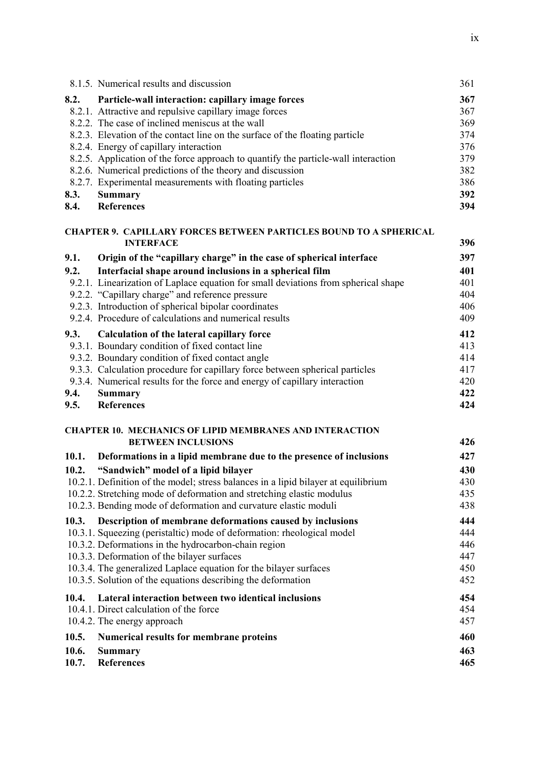|       | 8.1.5. Numerical results and discussion                                            | 361 |
|-------|------------------------------------------------------------------------------------|-----|
| 8.2.  | Particle-wall interaction: capillary image forces                                  | 367 |
|       | 8.2.1. Attractive and repulsive capillary image forces                             | 367 |
|       | 8.2.2. The case of inclined meniscus at the wall                                   | 369 |
|       | 8.2.3. Elevation of the contact line on the surface of the floating particle       | 374 |
|       | 8.2.4. Energy of capillary interaction                                             | 376 |
|       | 8.2.5. Application of the force approach to quantify the particle-wall interaction | 379 |
|       | 8.2.6. Numerical predictions of the theory and discussion                          | 382 |
|       | 8.2.7. Experimental measurements with floating particles                           | 386 |
| 8.3.  | <b>Summary</b>                                                                     | 392 |
| 8.4.  | <b>References</b>                                                                  | 394 |
|       | <b>CHAPTER 9. CAPILLARY FORCES BETWEEN PARTICLES BOUND TO A SPHERICAL</b>          |     |
|       | <b>INTERFACE</b>                                                                   | 396 |
| 9.1.  | Origin of the "capillary charge" in the case of spherical interface                | 397 |
| 9.2.  | Interfacial shape around inclusions in a spherical film                            | 401 |
|       | 9.2.1. Linearization of Laplace equation for small deviations from spherical shape | 401 |
|       | 9.2.2. "Capillary charge" and reference pressure                                   | 404 |
|       | 9.2.3. Introduction of spherical bipolar coordinates                               | 406 |
|       | 9.2.4. Procedure of calculations and numerical results                             | 409 |
| 9.3.  | <b>Calculation of the lateral capillary force</b>                                  | 412 |
|       | 9.3.1. Boundary condition of fixed contact line                                    | 413 |
|       | 9.3.2. Boundary condition of fixed contact angle                                   | 414 |
|       | 9.3.3. Calculation procedure for capillary force between spherical particles       | 417 |
|       | 9.3.4. Numerical results for the force and energy of capillary interaction         | 420 |
| 9.4.  | <b>Summary</b>                                                                     | 422 |
| 9.5.  | <b>References</b>                                                                  | 424 |
|       | <b>CHAPTER 10. MECHANICS OF LIPID MEMBRANES AND INTERACTION</b>                    |     |
|       | <b>BETWEEN INCLUSIONS</b>                                                          | 426 |
| 10.1. | Deformations in a lipid membrane due to the presence of inclusions                 | 427 |
| 10.2. | "Sandwich" model of a lipid bilayer                                                | 430 |
|       | 10.2.1. Definition of the model; stress balances in a lipid bilayer at equilibrium | 430 |
|       | 10.2.2. Stretching mode of deformation and stretching elastic modulus              | 435 |
|       | 10.2.3. Bending mode of deformation and curvature elastic moduli                   | 438 |
| 10.3. | Description of membrane deformations caused by inclusions                          | 444 |
|       | 10.3.1. Squeezing (peristaltic) mode of deformation: rheological model             | 444 |
|       | 10.3.2. Deformations in the hydrocarbon-chain region                               | 446 |
|       | 10.3.3. Deformation of the bilayer surfaces                                        | 447 |
|       | 10.3.4. The generalized Laplace equation for the bilayer surfaces                  | 450 |
|       | 10.3.5. Solution of the equations describing the deformation                       | 452 |
| 10.4. | Lateral interaction between two identical inclusions                               | 454 |
|       | 10.4.1. Direct calculation of the force                                            | 454 |
|       | 10.4.2. The energy approach                                                        | 457 |
| 10.5. | Numerical results for membrane proteins                                            | 460 |
| 10.6. | <b>Summary</b>                                                                     | 463 |
| 10.7. | <b>References</b>                                                                  | 465 |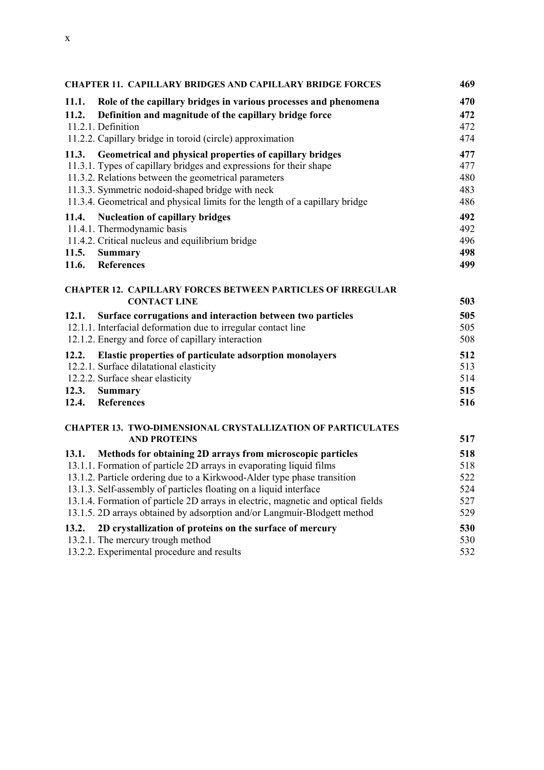| <b>CHAPTER 11. CAPILLARY BRIDGES AND CAPILLARY BRIDGE FORCES</b> |                                                                                           | 469 |
|------------------------------------------------------------------|-------------------------------------------------------------------------------------------|-----|
| 11.1.                                                            | Role of the capillary bridges in various processes and phenomena                          | 470 |
| 11.2.                                                            | Definition and magnitude of the capillary bridge force                                    | 472 |
|                                                                  | 11.2.1. Definition                                                                        | 472 |
|                                                                  | 11.2.2. Capillary bridge in toroid (circle) approximation                                 | 474 |
| 11.3.                                                            | Geometrical and physical properties of capillary bridges                                  | 477 |
|                                                                  | 11.3.1. Types of capillary bridges and expressions for their shape                        | 477 |
|                                                                  | 11.3.2. Relations between the geometrical parameters                                      | 480 |
|                                                                  | 11.3.3. Symmetric nodoid-shaped bridge with neck                                          | 483 |
|                                                                  | 11.3.4. Geometrical and physical limits for the length of a capillary bridge              | 486 |
| 11.4.                                                            | <b>Nucleation of capillary bridges</b>                                                    | 492 |
|                                                                  | 11.4.1. Thermodynamic basis                                                               | 492 |
|                                                                  | 11.4.2. Critical nucleus and equilibrium bridge                                           | 496 |
| 11.5.                                                            | <b>Summary</b>                                                                            | 498 |
| 11.6.                                                            | <b>References</b>                                                                         | 499 |
|                                                                  |                                                                                           |     |
|                                                                  | <b>CHAPTER 12. CAPILLARY FORCES BETWEEN PARTICLES OF IRREGULAR</b><br><b>CONTACT LINE</b> | 503 |
| 12.1.                                                            | Surface corrugations and interaction between two particles                                | 505 |
|                                                                  | 12.1.1. Interfacial deformation due to irregular contact line                             | 505 |
|                                                                  | 12.1.2. Energy and force of capillary interaction                                         | 508 |
| 12.2.                                                            | Elastic properties of particulate adsorption monolayers                                   | 512 |
|                                                                  | 12.2.1. Surface dilatational elasticity                                                   | 513 |
|                                                                  | 12.2.2. Surface shear elasticity                                                          | 514 |
| 12.3.                                                            | <b>Summary</b>                                                                            | 515 |
| 12.4.                                                            | <b>References</b>                                                                         | 516 |
|                                                                  |                                                                                           |     |
|                                                                  | <b>CHAPTER 13. TWO-DIMENSIONAL CRYSTALLIZATION OF PARTICULATES</b><br><b>AND PROTEINS</b> | 517 |
| 13.1.                                                            | Methods for obtaining 2D arrays from microscopic particles                                | 518 |
|                                                                  | 13.1.1. Formation of particle 2D arrays in evaporating liquid films                       | 518 |
|                                                                  | 13.1.2. Particle ordering due to a Kirkwood-Alder type phase transition                   | 522 |
|                                                                  | 13.1.3. Self-assembly of particles floating on a liquid interface                         | 524 |
|                                                                  | 13.1.4. Formation of particle 2D arrays in electric, magnetic and optical fields          | 527 |
|                                                                  | 13.1.5. 2D arrays obtained by adsorption and/or Langmuir-Blodgett method                  | 529 |
| 13.2.                                                            | 2D crystallization of proteins on the surface of mercury                                  | 530 |
|                                                                  | 13.2.1. The mercury trough method                                                         | 530 |

13.2.2. Experimental procedure and results 532